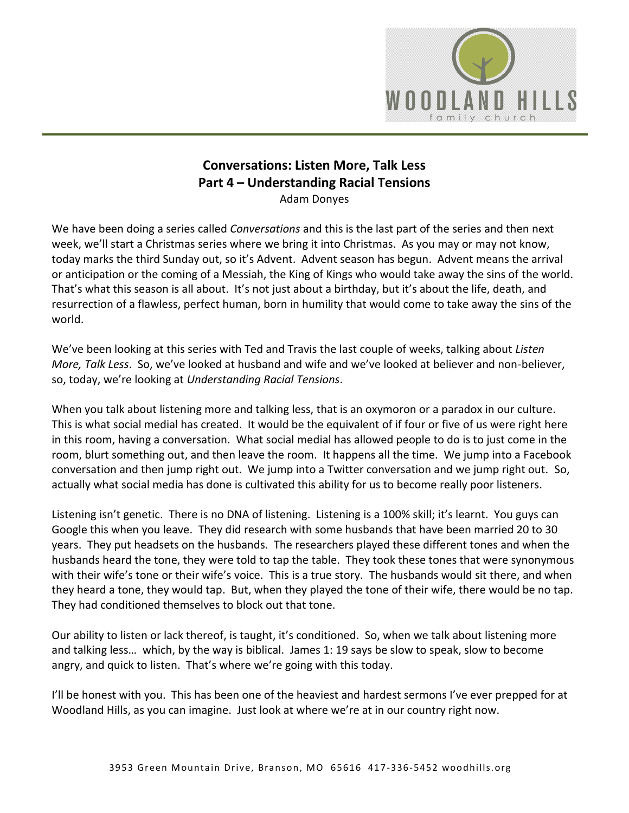

## **Conversations: Listen More, Talk Less Part 4 – Understanding Racial Tensions**

Adam Donyes

We have been doing a series called *Conversations* and this is the last part of the series and then next week, we'll start a Christmas series where we bring it into Christmas. As you may or may not know, today marks the third Sunday out, so it's Advent. Advent season has begun. Advent means the arrival or anticipation or the coming of a Messiah, the King of Kings who would take away the sins of the world. That's what this season is all about. It's not just about a birthday, but it's about the life, death, and resurrection of a flawless, perfect human, born in humility that would come to take away the sins of the world.

We've been looking at this series with Ted and Travis the last couple of weeks, talking about *Listen More, Talk Less*. So, we've looked at husband and wife and we've looked at believer and non-believer, so, today, we're looking at *Understanding Racial Tensions*.

When you talk about listening more and talking less, that is an oxymoron or a paradox in our culture. This is what social medial has created. It would be the equivalent of if four or five of us were right here in this room, having a conversation. What social medial has allowed people to do is to just come in the room, blurt something out, and then leave the room. It happens all the time. We jump into a Facebook conversation and then jump right out. We jump into a Twitter conversation and we jump right out. So, actually what social media has done is cultivated this ability for us to become really poor listeners.

Listening isn't genetic. There is no DNA of listening. Listening is a 100% skill; it's learnt. You guys can Google this when you leave. They did research with some husbands that have been married 20 to 30 years. They put headsets on the husbands. The researchers played these different tones and when the husbands heard the tone, they were told to tap the table. They took these tones that were synonymous with their wife's tone or their wife's voice. This is a true story. The husbands would sit there, and when they heard a tone, they would tap. But, when they played the tone of their wife, there would be no tap. They had conditioned themselves to block out that tone.

Our ability to listen or lack thereof, is taught, it's conditioned. So, when we talk about listening more and talking less… which, by the way is biblical. James 1: 19 says be slow to speak, slow to become angry, and quick to listen. That's where we're going with this today.

I'll be honest with you. This has been one of the heaviest and hardest sermons I've ever prepped for at Woodland Hills, as you can imagine. Just look at where we're at in our country right now.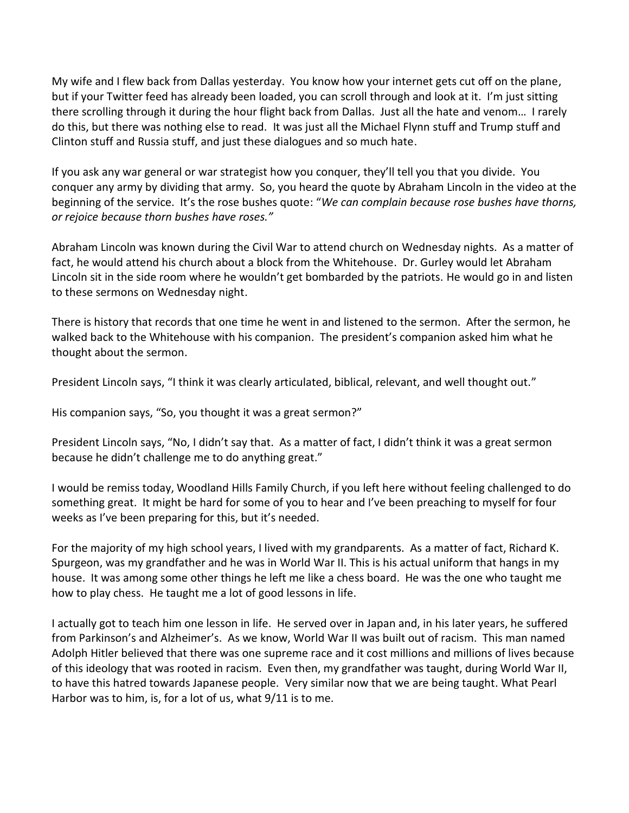My wife and I flew back from Dallas yesterday. You know how your internet gets cut off on the plane, but if your Twitter feed has already been loaded, you can scroll through and look at it. I'm just sitting there scrolling through it during the hour flight back from Dallas. Just all the hate and venom… I rarely do this, but there was nothing else to read. It was just all the Michael Flynn stuff and Trump stuff and Clinton stuff and Russia stuff, and just these dialogues and so much hate.

If you ask any war general or war strategist how you conquer, they'll tell you that you divide. You conquer any army by dividing that army. So, you heard the quote by Abraham Lincoln in the video at the beginning of the service. It's the rose bushes quote: "*We can complain because rose bushes have thorns, or rejoice because thorn bushes have roses."*

Abraham Lincoln was known during the Civil War to attend church on Wednesday nights. As a matter of fact, he would attend his church about a block from the Whitehouse. Dr. Gurley would let Abraham Lincoln sit in the side room where he wouldn't get bombarded by the patriots. He would go in and listen to these sermons on Wednesday night.

There is history that records that one time he went in and listened to the sermon. After the sermon, he walked back to the Whitehouse with his companion. The president's companion asked him what he thought about the sermon.

President Lincoln says, "I think it was clearly articulated, biblical, relevant, and well thought out."

His companion says, "So, you thought it was a great sermon?"

President Lincoln says, "No, I didn't say that. As a matter of fact, I didn't think it was a great sermon because he didn't challenge me to do anything great."

I would be remiss today, Woodland Hills Family Church, if you left here without feeling challenged to do something great. It might be hard for some of you to hear and I've been preaching to myself for four weeks as I've been preparing for this, but it's needed.

For the majority of my high school years, I lived with my grandparents. As a matter of fact, Richard K. Spurgeon, was my grandfather and he was in World War II. This is his actual uniform that hangs in my house. It was among some other things he left me like a chess board. He was the one who taught me how to play chess. He taught me a lot of good lessons in life.

I actually got to teach him one lesson in life. He served over in Japan and, in his later years, he suffered from Parkinson's and Alzheimer's. As we know, World War II was built out of racism. This man named Adolph Hitler believed that there was one supreme race and it cost millions and millions of lives because of this ideology that was rooted in racism. Even then, my grandfather was taught, during World War II, to have this hatred towards Japanese people. Very similar now that we are being taught. What Pearl Harbor was to him, is, for a lot of us, what 9/11 is to me.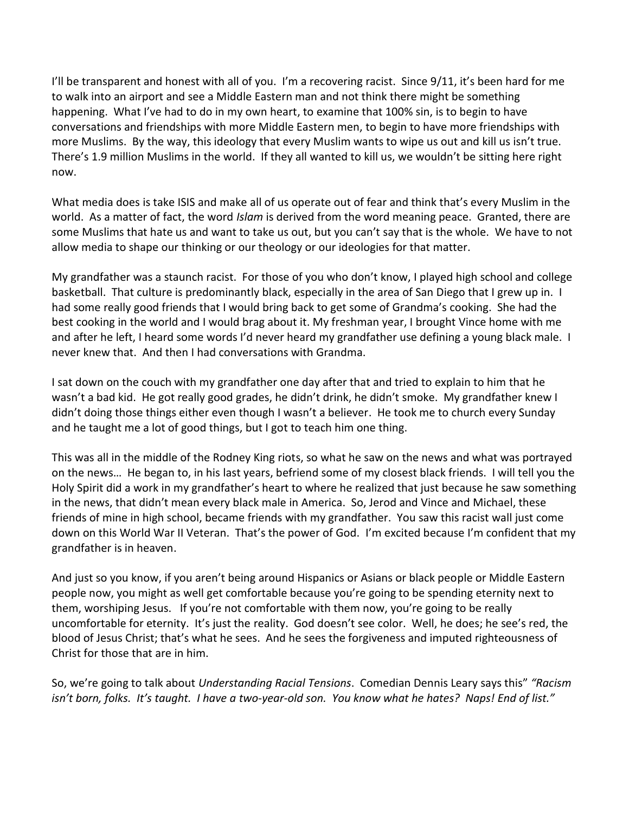I'll be transparent and honest with all of you. I'm a recovering racist. Since  $9/11$ , it's been hard for me to walk into an airport and see a Middle Eastern man and not think there might be something happening. What I've had to do in my own heart, to examine that 100% sin, is to begin to have conversations and friendships with more Middle Eastern men, to begin to have more friendships with more Muslims. By the way, this ideology that every Muslim wants to wipe us out and kill us isn't true. There's 1.9 million Muslims in the world. If they all wanted to kill us, we wouldn't be sitting here right now.

What media does is take ISIS and make all of us operate out of fear and think that's every Muslim in the world. As a matter of fact, the word *Islam* is derived from the word meaning peace. Granted, there are some Muslims that hate us and want to take us out, but you can't say that is the whole. We have to not allow media to shape our thinking or our theology or our ideologies for that matter.

My grandfather was a staunch racist. For those of you who don't know, I played high school and college basketball. That culture is predominantly black, especially in the area of San Diego that I grew up in. I had some really good friends that I would bring back to get some of Grandma's cooking. She had the best cooking in the world and I would brag about it. My freshman year, I brought Vince home with me and after he left, I heard some words I'd never heard my grandfather use defining a young black male. I never knew that. And then I had conversations with Grandma.

I sat down on the couch with my grandfather one day after that and tried to explain to him that he wasn't a bad kid. He got really good grades, he didn't drink, he didn't smoke. My grandfather knew I didn't doing those things either even though I wasn't a believer. He took me to church every Sunday and he taught me a lot of good things, but I got to teach him one thing.

This was all in the middle of the Rodney King riots, so what he saw on the news and what was portrayed on the news… He began to, in his last years, befriend some of my closest black friends. I will tell you the Holy Spirit did a work in my grandfather's heart to where he realized that just because he saw something in the news, that didn't mean every black male in America. So, Jerod and Vince and Michael, these friends of mine in high school, became friends with my grandfather. You saw this racist wall just come down on this World War II Veteran. That's the power of God. I'm excited because I'm confident that my grandfather is in heaven.

And just so you know, if you aren't being around Hispanics or Asians or black people or Middle Eastern people now, you might as well get comfortable because you're going to be spending eternity next to them, worshiping Jesus. If you're not comfortable with them now, you're going to be really uncomfortable for eternity. It's just the reality. God doesn't see color. Well, he does; he see's red, the blood of Jesus Christ; that's what he sees. And he sees the forgiveness and imputed righteousness of Christ for those that are in him.

So, we're going to talk about *Understanding Racial Tensions*. Comedian Dennis Leary says this" *"Racism isn't born, folks. It's taught. I have a two-year-old son. You know what he hates? Naps! End of list."*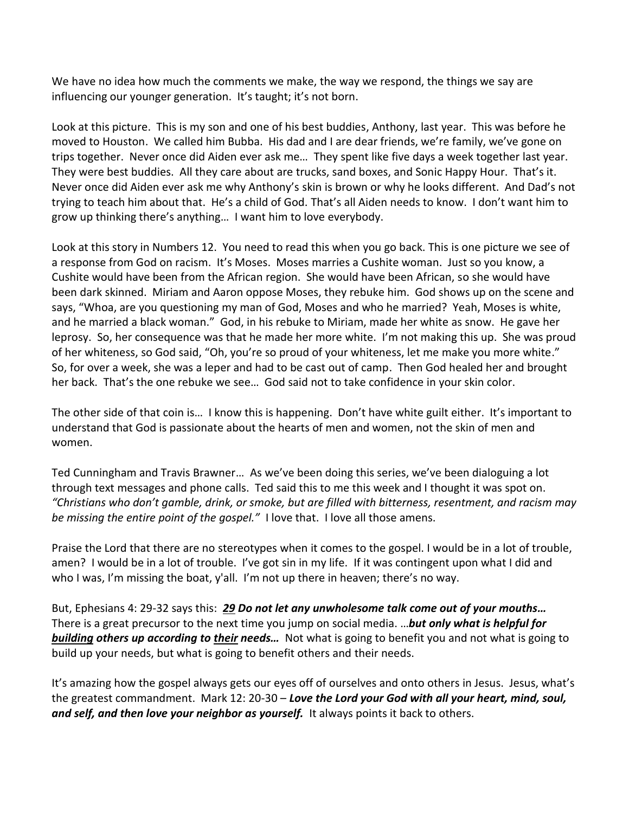We have no idea how much the comments we make, the way we respond, the things we say are influencing our younger generation. It's taught; it's not born.

Look at this picture. This is my son and one of his best buddies, Anthony, last year. This was before he moved to Houston. We called him Bubba. His dad and I are dear friends, we're family, we've gone on trips together. Never once did Aiden ever ask me… They spent like five days a week together last year. They were best buddies. All they care about are trucks, sand boxes, and Sonic Happy Hour. That's it. Never once did Aiden ever ask me why Anthony's skin is brown or why he looks different. And Dad's not trying to teach him about that. He's a child of God. That's all Aiden needs to know. I don't want him to grow up thinking there's anything… I want him to love everybody.

Look at this story in Numbers 12. You need to read this when you go back. This is one picture we see of a response from God on racism. It's Moses. Moses marries a Cushite woman. Just so you know, a Cushite would have been from the African region. She would have been African, so she would have been dark skinned. Miriam and Aaron oppose Moses, they rebuke him. God shows up on the scene and says, "Whoa, are you questioning my man of God, Moses and who he married? Yeah, Moses is white, and he married a black woman." God, in his rebuke to Miriam, made her white as snow. He gave her leprosy. So, her consequence was that he made her more white. I'm not making this up. She was proud of her whiteness, so God said, "Oh, you're so proud of your whiteness, let me make you more white." So, for over a week, she was a leper and had to be cast out of camp. Then God healed her and brought her back. That's the one rebuke we see… God said not to take confidence in your skin color.

The other side of that coin is… I know this is happening. Don't have white guilt either. It's important to understand that God is passionate about the hearts of men and women, not the skin of men and women.

Ted Cunningham and Travis Brawner… As we've been doing this series, we've been dialoguing a lot through text messages and phone calls. Ted said this to me this week and I thought it was spot on. *"Christians who don't gamble, drink, or smoke, but are filled with bitterness, resentment, and racism may be missing the entire point of the gospel."* I love that. I love all those amens.

Praise the Lord that there are no stereotypes when it comes to the gospel. I would be in a lot of trouble, amen? I would be in a lot of trouble. I've got sin in my life. If it was contingent upon what I did and who I was, I'm missing the boat, y'all. I'm not up there in heaven; there's no way.

But, Ephesians 4: 29-32 says this: *[29](https://www.studylight.org/desk/?q=eph%204:29&t1=en_niv&sr=1) Do not let any unwholesome talk come out of your mouths…* There is a great precursor to the next time you jump on social media. …*but only what is helpful for building others up according to their needs…* Not what is going to benefit you and not what is going to build up your needs, but what is going to benefit others and their needs.

It's amazing how the gospel always gets our eyes off of ourselves and onto others in Jesus. Jesus, what's the greatest commandment. Mark 12: 20-30 – *Love the Lord your God with all your heart, mind, soul, and self, and then love your neighbor as yourself.* It always points it back to others.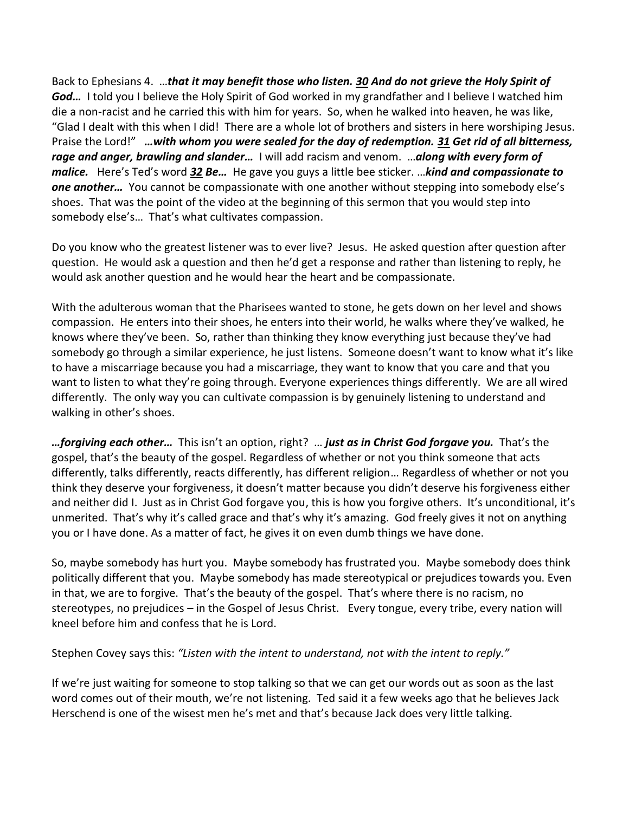Back to Ephesians 4. …*that it may benefit those who listen. [30](https://www.studylight.org/desk/?q=eph%204:30&t1=en_niv&sr=1) And do not grieve the Holy Spirit of God…* I told you I believe the Holy Spirit of God worked in my grandfather and I believe I watched him die a non-racist and he carried this with him for years. So, when he walked into heaven, he was like, "Glad I dealt with this when I did! There are a whole lot of brothers and sisters in here worshiping Jesus. Praise the Lord!" *…with whom you were sealed for the day of redemption. [31](https://www.studylight.org/desk/?q=eph%204:31&t1=en_niv&sr=1) Get rid of all bitterness, rage and anger, brawling and slander…* I will add racism and venom. …*along with every form of malice.* Here's Ted's word *[32](https://www.studylight.org/desk/?q=eph%204:32&t1=en_niv&sr=1) Be…* He gave you guys a little bee sticker. …*kind and compassionate to one another…* You cannot be compassionate with one another without stepping into somebody else's shoes. That was the point of the video at the beginning of this sermon that you would step into somebody else's… That's what cultivates compassion.

Do you know who the greatest listener was to ever live? Jesus. He asked question after question after question. He would ask a question and then he'd get a response and rather than listening to reply, he would ask another question and he would hear the heart and be compassionate.

With the adulterous woman that the Pharisees wanted to stone, he gets down on her level and shows compassion. He enters into their shoes, he enters into their world, he walks where they've walked, he knows where they've been. So, rather than thinking they know everything just because they've had somebody go through a similar experience, he just listens. Someone doesn't want to know what it's like to have a miscarriage because you had a miscarriage, they want to know that you care and that you want to listen to what they're going through. Everyone experiences things differently. We are all wired differently. The only way you can cultivate compassion is by genuinely listening to understand and walking in other's shoes.

*…forgiving each other…* This isn't an option, right? … *just as in Christ God forgave you.* That's the gospel, that's the beauty of the gospel. Regardless of whether or not you think someone that acts differently, talks differently, reacts differently, has different religion… Regardless of whether or not you think they deserve your forgiveness, it doesn't matter because you didn't deserve his forgiveness either and neither did I. Just as in Christ God forgave you, this is how you forgive others. It's unconditional, it's unmerited. That's why it's called grace and that's why it's amazing. God freely gives it not on anything you or I have done. As a matter of fact, he gives it on even dumb things we have done.

So, maybe somebody has hurt you. Maybe somebody has frustrated you. Maybe somebody does think politically different that you. Maybe somebody has made stereotypical or prejudices towards you. Even in that, we are to forgive. That's the beauty of the gospel. That's where there is no racism, no stereotypes, no prejudices – in the Gospel of Jesus Christ. Every tongue, every tribe, every nation will kneel before him and confess that he is Lord.

Stephen Covey says this: *"Listen with the intent to understand, not with the intent to reply."* 

If we're just waiting for someone to stop talking so that we can get our words out as soon as the last word comes out of their mouth, we're not listening. Ted said it a few weeks ago that he believes Jack Herschend is one of the wisest men he's met and that's because Jack does very little talking.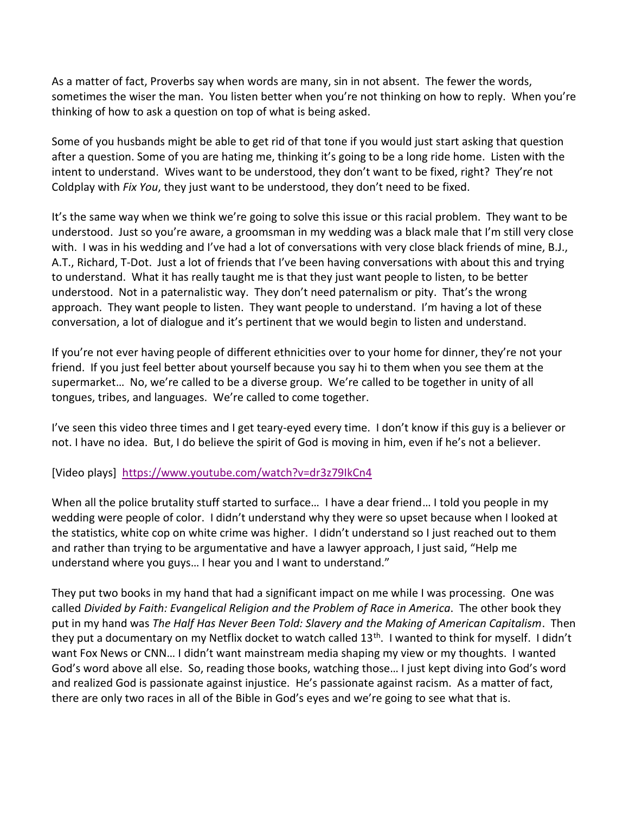As a matter of fact, Proverbs say when words are many, sin in not absent. The fewer the words, sometimes the wiser the man. You listen better when you're not thinking on how to reply. When you're thinking of how to ask a question on top of what is being asked.

Some of you husbands might be able to get rid of that tone if you would just start asking that question after a question. Some of you are hating me, thinking it's going to be a long ride home. Listen with the intent to understand. Wives want to be understood, they don't want to be fixed, right? They're not Coldplay with *Fix You*, they just want to be understood, they don't need to be fixed.

It's the same way when we think we're going to solve this issue or this racial problem. They want to be understood. Just so you're aware, a groomsman in my wedding was a black male that I'm still very close with. I was in his wedding and I've had a lot of conversations with very close black friends of mine, B.J., A.T., Richard, T-Dot. Just a lot of friends that I've been having conversations with about this and trying to understand. What it has really taught me is that they just want people to listen, to be better understood. Not in a paternalistic way. They don't need paternalism or pity. That's the wrong approach. They want people to listen. They want people to understand. I'm having a lot of these conversation, a lot of dialogue and it's pertinent that we would begin to listen and understand.

If you're not ever having people of different ethnicities over to your home for dinner, they're not your friend. If you just feel better about yourself because you say hi to them when you see them at the supermarket… No, we're called to be a diverse group. We're called to be together in unity of all tongues, tribes, and languages. We're called to come together.

I've seen this video three times and I get teary-eyed every time. I don't know if this guy is a believer or not. I have no idea. But, I do believe the spirit of God is moving in him, even if he's not a believer.

[Video plays] <https://www.youtube.com/watch?v=dr3z79IkCn4>

When all the police brutality stuff started to surface... I have a dear friend... I told you people in my wedding were people of color. I didn't understand why they were so upset because when I looked at the statistics, white cop on white crime was higher. I didn't understand so I just reached out to them and rather than trying to be argumentative and have a lawyer approach, I just said, "Help me understand where you guys… I hear you and I want to understand."

They put two books in my hand that had a significant impact on me while I was processing. One was called *Divided by Faith: Evangelical Religion and the Problem of Race in America*. The other book they put in my hand was *The Half Has Never Been Told: Slavery and the Making of American Capitalism*. Then they put a documentary on my Netflix docket to watch called 13<sup>th</sup>. I wanted to think for myself. I didn't want Fox News or CNN… I didn't want mainstream media shaping my view or my thoughts. I wanted God's word above all else. So, reading those books, watching those… I just kept diving into God's word and realized God is passionate against injustice. He's passionate against racism. As a matter of fact, there are only two races in all of the Bible in God's eyes and we're going to see what that is.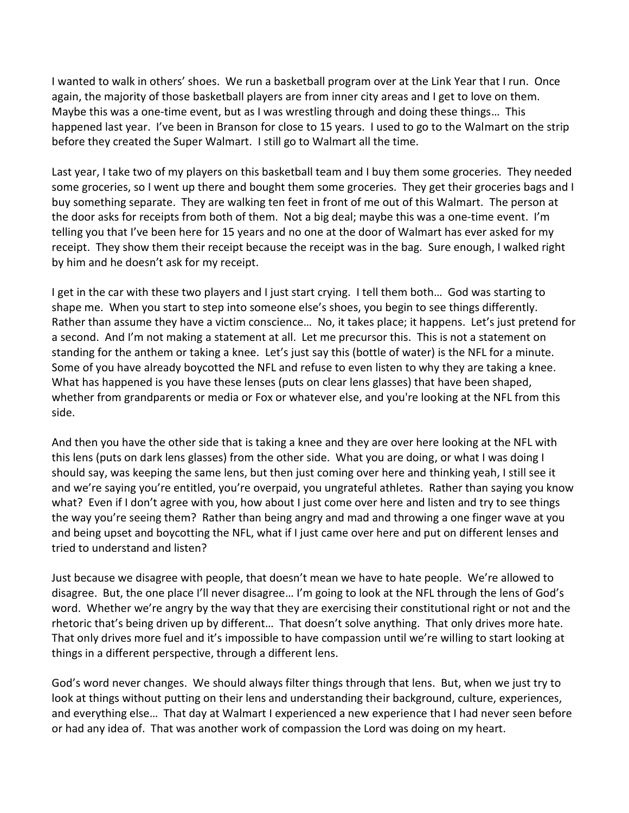I wanted to walk in others' shoes. We run a basketball program over at the Link Year that I run. Once again, the majority of those basketball players are from inner city areas and I get to love on them. Maybe this was a one-time event, but as I was wrestling through and doing these things… This happened last year. I've been in Branson for close to 15 years. I used to go to the Walmart on the strip before they created the Super Walmart. I still go to Walmart all the time.

Last year, I take two of my players on this basketball team and I buy them some groceries. They needed some groceries, so I went up there and bought them some groceries. They get their groceries bags and I buy something separate. They are walking ten feet in front of me out of this Walmart. The person at the door asks for receipts from both of them. Not a big deal; maybe this was a one-time event. I'm telling you that I've been here for 15 years and no one at the door of Walmart has ever asked for my receipt. They show them their receipt because the receipt was in the bag. Sure enough, I walked right by him and he doesn't ask for my receipt.

I get in the car with these two players and I just start crying. I tell them both… God was starting to shape me. When you start to step into someone else's shoes, you begin to see things differently. Rather than assume they have a victim conscience… No, it takes place; it happens. Let's just pretend for a second. And I'm not making a statement at all. Let me precursor this. This is not a statement on standing for the anthem or taking a knee. Let's just say this (bottle of water) is the NFL for a minute. Some of you have already boycotted the NFL and refuse to even listen to why they are taking a knee. What has happened is you have these lenses (puts on clear lens glasses) that have been shaped, whether from grandparents or media or Fox or whatever else, and you're looking at the NFL from this side.

And then you have the other side that is taking a knee and they are over here looking at the NFL with this lens (puts on dark lens glasses) from the other side. What you are doing, or what I was doing I should say, was keeping the same lens, but then just coming over here and thinking yeah, I still see it and we're saying you're entitled, you're overpaid, you ungrateful athletes. Rather than saying you know what? Even if I don't agree with you, how about I just come over here and listen and try to see things the way you're seeing them? Rather than being angry and mad and throwing a one finger wave at you and being upset and boycotting the NFL, what if I just came over here and put on different lenses and tried to understand and listen?

Just because we disagree with people, that doesn't mean we have to hate people. We're allowed to disagree. But, the one place I'll never disagree… I'm going to look at the NFL through the lens of God's word. Whether we're angry by the way that they are exercising their constitutional right or not and the rhetoric that's being driven up by different… That doesn't solve anything. That only drives more hate. That only drives more fuel and it's impossible to have compassion until we're willing to start looking at things in a different perspective, through a different lens.

God's word never changes. We should always filter things through that lens. But, when we just try to look at things without putting on their lens and understanding their background, culture, experiences, and everything else… That day at Walmart I experienced a new experience that I had never seen before or had any idea of. That was another work of compassion the Lord was doing on my heart.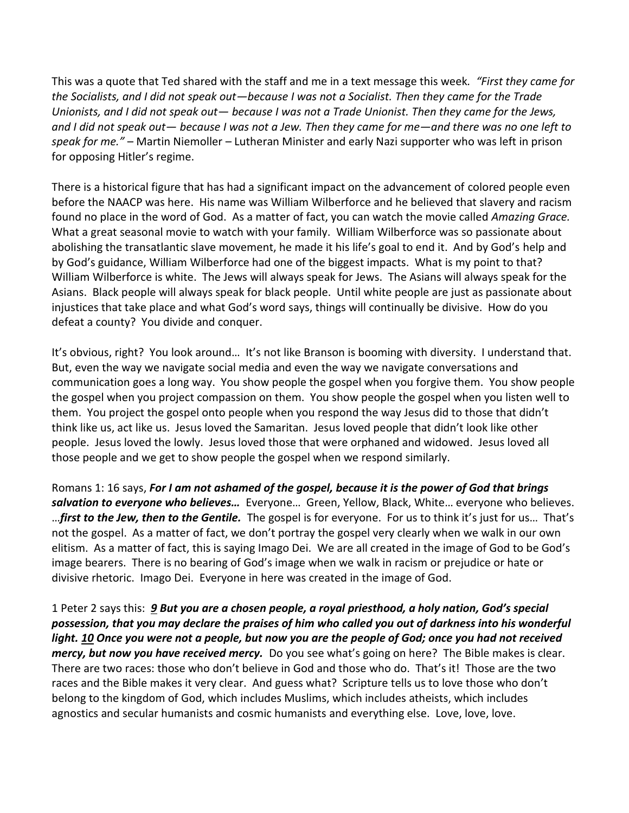This was a quote that Ted shared with the staff and me in a text message this week*. "First they came for the Socialists, and I did not speak out—because I was not a Socialist. Then they came for the Trade Unionists, and I did not speak out— because I was not a Trade Unionist. Then they came for the Jews, and I did not speak out— because I was not a Jew. Then they came for me—and there was no one left to speak for me."* – Martin Niemoller – Lutheran Minister and early Nazi supporter who was left in prison for opposing Hitler's regime.

There is a historical figure that has had a significant impact on the advancement of colored people even before the NAACP was here. His name was William Wilberforce and he believed that slavery and racism found no place in the word of God. As a matter of fact, you can watch the movie called *Amazing Grace.* What a great seasonal movie to watch with your family. William Wilberforce was so passionate about abolishing the transatlantic slave movement, he made it his life's goal to end it. And by God's help and by God's guidance, William Wilberforce had one of the biggest impacts. What is my point to that? William Wilberforce is white. The Jews will always speak for Jews. The Asians will always speak for the Asians. Black people will always speak for black people. Until white people are just as passionate about injustices that take place and what God's word says, things will continually be divisive. How do you defeat a county? You divide and conquer.

It's obvious, right? You look around... It's not like Branson is booming with diversity. I understand that. But, even the way we navigate social media and even the way we navigate conversations and communication goes a long way. You show people the gospel when you forgive them. You show people the gospel when you project compassion on them. You show people the gospel when you listen well to them. You project the gospel onto people when you respond the way Jesus did to those that didn't think like us, act like us. Jesus loved the Samaritan. Jesus loved people that didn't look like other people. Jesus loved the lowly. Jesus loved those that were orphaned and widowed. Jesus loved all those people and we get to show people the gospel when we respond similarly.

Romans 1: 16 says, *For I am not ashamed of the gospel, because it is the power of God that brings salvation to everyone who believes…* Everyone… Green, Yellow, Black, White… everyone who believes. …*first to the Jew, then to the Gentile.* The gospel is for everyone. For us to think it's just for us… That's not the gospel. As a matter of fact, we don't portray the gospel very clearly when we walk in our own elitism. As a matter of fact, this is saying Imago Dei. We are all created in the image of God to be God's image bearers. There is no bearing of God's image when we walk in racism or prejudice or hate or divisive rhetoric. Imago Dei. Everyone in here was created in the image of God.

1 Peter 2 says this: *[9](https://www.studylight.org/desk/?q=1pe%202:9&t1=en_niv&sr=1) But you are a chosen people, a royal priesthood, a holy nation, God's special possession, that you may declare the praises of him who called you out of darkness into his wonderful light. [10](https://www.studylight.org/desk/?q=1pe%202:10&t1=en_niv&sr=1) Once you were not a people, but now you are the people of God; once you had not received mercy, but now you have received mercy.* Do you see what's going on here? The Bible makes is clear. There are two races: those who don't believe in God and those who do. That's it! Those are the two races and the Bible makes it very clear. And guess what? Scripture tells us to love those who don't belong to the kingdom of God, which includes Muslims, which includes atheists, which includes agnostics and secular humanists and cosmic humanists and everything else. Love, love, love.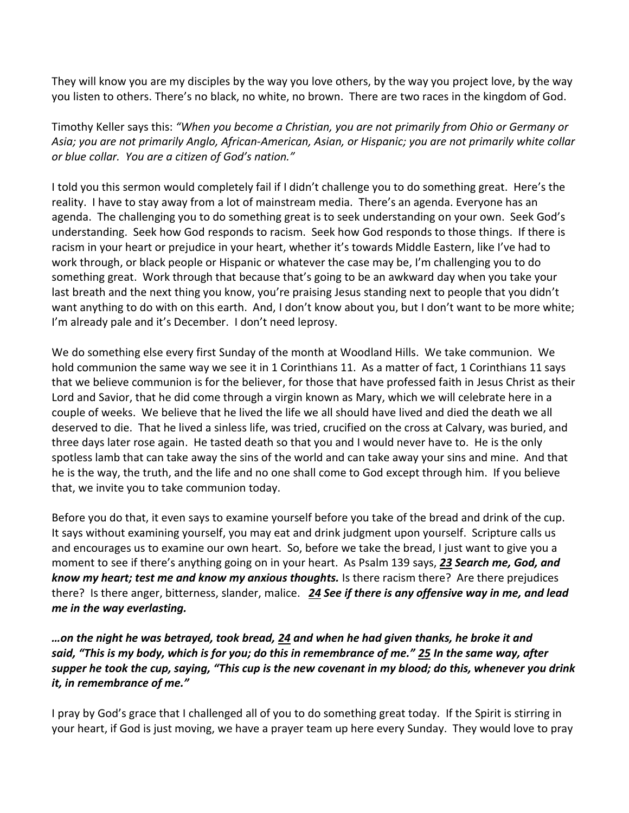They will know you are my disciples by the way you love others, by the way you project love, by the way you listen to others. There's no black, no white, no brown. There are two races in the kingdom of God.

Timothy Keller says this: *"When you become a Christian, you are not primarily from Ohio or Germany or Asia; you are not primarily Anglo, African-American, Asian, or Hispanic; you are not primarily white collar or blue collar. You are a citizen of God's nation."* 

I told you this sermon would completely fail if I didn't challenge you to do something great. Here's the reality. I have to stay away from a lot of mainstream media. There's an agenda. Everyone has an agenda. The challenging you to do something great is to seek understanding on your own. Seek God's understanding. Seek how God responds to racism. Seek how God responds to those things. If there is racism in your heart or prejudice in your heart, whether it's towards Middle Eastern, like I've had to work through, or black people or Hispanic or whatever the case may be, I'm challenging you to do something great. Work through that because that's going to be an awkward day when you take your last breath and the next thing you know, you're praising Jesus standing next to people that you didn't want anything to do with on this earth. And, I don't know about you, but I don't want to be more white; I'm already pale and it's December. I don't need leprosy.

We do something else every first Sunday of the month at Woodland Hills. We take communion. We hold communion the same way we see it in 1 Corinthians 11. As a matter of fact, 1 Corinthians 11 says that we believe communion is for the believer, for those that have professed faith in Jesus Christ as their Lord and Savior, that he did come through a virgin known as Mary, which we will celebrate here in a couple of weeks. We believe that he lived the life we all should have lived and died the death we all deserved to die. That he lived a sinless life, was tried, crucified on the cross at Calvary, was buried, and three days later rose again. He tasted death so that you and I would never have to. He is the only spotless lamb that can take away the sins of the world and can take away your sins and mine. And that he is the way, the truth, and the life and no one shall come to God except through him. If you believe that, we invite you to take communion today.

Before you do that, it even says to examine yourself before you take of the bread and drink of the cup. It says without examining yourself, you may eat and drink judgment upon yourself. Scripture calls us and encourages us to examine our own heart. So, before we take the bread, I just want to give you a moment to see if there's anything going on in your heart. As Psalm 139 says, *[23](https://www.studylight.org/desk/?q=ps%20139:23&t1=en_niv&sr=1) Search me, God, and know my heart; test me and know my anxious thoughts.* Is there racism there? Are there prejudices there? Is there anger, bitterness, slander, malice. *[24](https://www.studylight.org/desk/?q=ps%20139:24&t1=en_niv&sr=1) See if there is any offensive way in me, and lead me in the way everlasting.*

*…on the night he was betrayed, took bread, [24](https://www.studylight.org/desk/?q=1co%2011:24&t1=en_niv&sr=1) and when he had given thanks, he broke it and said, "This is my body, which is for you; do this in remembrance of me." [25](https://www.studylight.org/desk/?q=1co%2011:25&t1=en_niv&sr=1) In the same way, after supper he took the cup, saying, "This cup is the new covenant in my blood; do this, whenever you drink it, in remembrance of me."*

I pray by God's grace that I challenged all of you to do something great today. If the Spirit is stirring in your heart, if God is just moving, we have a prayer team up here every Sunday. They would love to pray